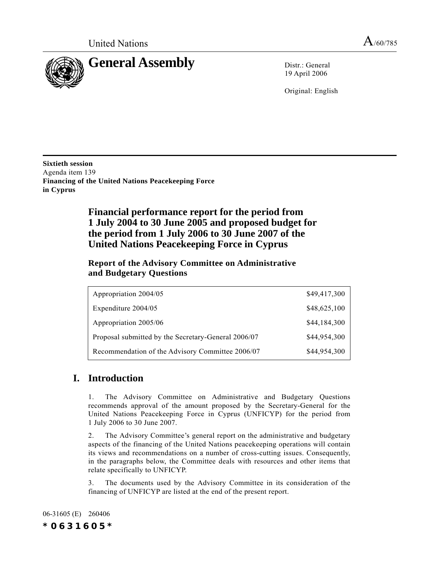

19 April 2006

Original: English

**Sixtieth session** Agenda item 139 **Financing of the United Nations Peacekeeping Force in Cyprus**

> **Financial performance report for the period from 1 July 2004 to 30 June 2005 and proposed budget for the period from 1 July 2006 to 30 June 2007 of the United Nations Peacekeeping Force in Cyprus**

### **Report of the Advisory Committee on Administrative and Budgetary Questions**

| Appropriation 2004/05                               | \$49,417,300 |
|-----------------------------------------------------|--------------|
| Expenditure 2004/05                                 | \$48,625,100 |
| Appropriation 2005/06                               | \$44,184,300 |
| Proposal submitted by the Secretary-General 2006/07 | \$44,954,300 |
| Recommendation of the Advisory Committee 2006/07    | \$44,954,300 |

# **I. Introduction**

1. The Advisory Committee on Administrative and Budgetary Questions recommends approval of the amount proposed by the Secretary-General for the United Nations Peacekeeping Force in Cyprus (UNFICYP) for the period from 1 July 2006 to 30 June 2007.

2. The Advisory Committee's general report on the administrative and budgetary aspects of the financing of the United Nations peacekeeping operations will contain its views and recommendations on a number of cross-cutting issues. Consequently, in the paragraphs below, the Committee deals with resources and other items that relate specifically to UNFICYP.

3. The documents used by the Advisory Committee in its consideration of the financing of UNFICYP are listed at the end of the present report.

06-31605 (E) 260406 *\*0631605\**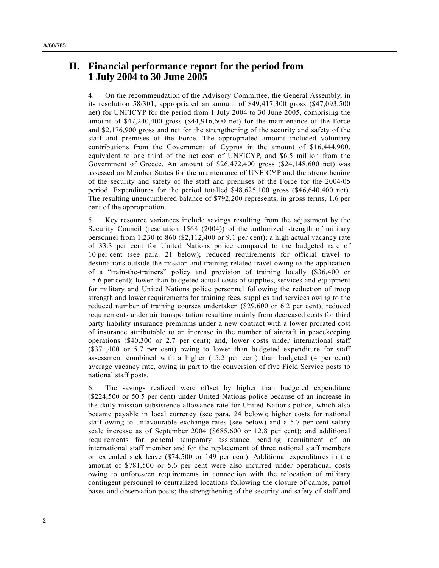## **II. Financial performance report for the period from 1 July 2004 to 30 June 2005**

4. On the recommendation of the Advisory Committee, the General Assembly, in its resolution 58/301, appropriated an amount of \$49,417,300 gross (\$47,093,500 net) for UNFICYP for the period from 1 July 2004 to 30 June 2005, comprising the amount of \$47,240,400 gross (\$44,916,600 net) for the maintenance of the Force and \$2,176,900 gross and net for the strengthening of the security and safety of the staff and premises of the Force. The appropriated amount included voluntary contributions from the Government of Cyprus in the amount of \$16,444,900, equivalent to one third of the net cost of UNFICYP, and \$6.5 million from the Government of Greece. An amount of \$26,472,400 gross (\$24,148,600 net) was assessed on Member States for the maintenance of UNFICYP and the strengthening of the security and safety of the staff and premises of the Force for the 2004/05 period. Expenditures for the period totalled \$48,625,100 gross (\$46,640,400 net). The resulting unencumbered balance of \$792,200 represents, in gross terms, 1.6 per cent of the appropriation.

5. Key resource variances include savings resulting from the adjustment by the Security Council (resolution 1568 (2004)) of the authorized strength of military personnel from 1,230 to 860 (\$2,112,400 or 9.1 per cent); a high actual vacancy rate of 33.3 per cent for United Nations police compared to the budgeted rate of 10 per cent (see para. 21 below); reduced requirements for official travel to destinations outside the mission and training-related travel owing to the application of a "train-the-trainers" policy and provision of training locally (\$36,400 or 15.6 per cent); lower than budgeted actual costs of supplies, services and equipment for military and United Nations police personnel following the reduction of troop strength and lower requirements for training fees, supplies and services owing to the reduced number of training courses undertaken (\$29,600 or 6.2 per cent); reduced requirements under air transportation resulting mainly from decreased costs for third party liability insurance premiums under a new contract with a lower prorated cost of insurance attributable to an increase in the number of aircraft in peacekeeping operations (\$40,300 or 2.7 per cent); and, lower costs under international staff (\$371,400 or 5.7 per cent) owing to lower than budgeted expenditure for staff assessment combined with a higher (15.2 per cent) than budgeted (4 per cent) average vacancy rate, owing in part to the conversion of five Field Service posts to national staff posts.

6. The savings realized were offset by higher than budgeted expenditure (\$224,500 or 50.5 per cent) under United Nations police because of an increase in the daily mission subsistence allowance rate for United Nations police, which also became payable in local currency (see para. 24 below); higher costs for national staff owing to unfavourable exchange rates (see below) and a 5.7 per cent salary scale increase as of September 2004 (\$685,600 or 12.8 per cent); and additional requirements for general temporary assistance pending recruitment of an international staff member and for the replacement of three national staff members on extended sick leave (\$74,500 or 149 per cent). Additional expenditures in the amount of \$781,500 or 5.6 per cent were also incurred under operational costs owing to unforeseen requirements in connection with the relocation of military contingent personnel to centralized locations following the closure of camps, patrol bases and observation posts; the strengthening of the security and safety of staff and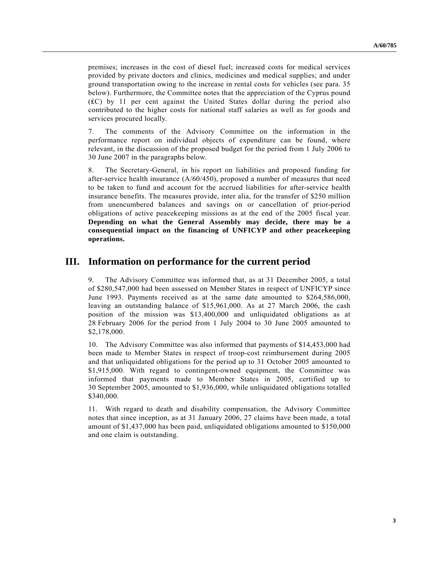premises; increases in the cost of diesel fuel; increased costs for medical services provided by private doctors and clinics, medicines and medical supplies; and under ground transportation owing to the increase in rental costs for vehicles (see para. 35 below). Furthermore, the Committee notes that the appreciation of the Cyprus pound  $f(C)$  by 11 per cent against the United States dollar during the period also contributed to the higher costs for national staff salaries as well as for goods and services procured locally.

7. The comments of the Advisory Committee on the information in the performance report on individual objects of expenditure can be found, where relevant, in the discussion of the proposed budget for the period from 1 July 2006 to 30 June 2007 in the paragraphs below.

8. The Secretary-General, in his report on liabilities and proposed funding for after-service health insurance  $(A/60/450)$ , proposed a number of measures that need to be taken to fund and account for the accrued liabilities for after-service health insurance benefits. The measures provide, inter alia, for the transfer of \$250 million from unencumbered balances and savings on or cancellation of prior-period obligations of active peacekeeping missions as at the end of the 2005 fiscal year. **Depending on what the General Assembly may decide, there may be a consequential impact on the financing of UNFICYP and other peacekeeping operations.**

## **III. Information on performance for the current period**

9. The Advisory Committee was informed that, as at 31 December 2005, a total of \$280,547,000 had been assessed on Member States in respect of UNFICYP since June 1993. Payments received as at the same date amounted to \$264,586,000, leaving an outstanding balance of \$15,961,000. As at 27 March 2006, the cash position of the mission was \$13,400,000 and unliquidated obligations as at 28 February 2006 for the period from 1 July 2004 to 30 June 2005 amounted to \$2,178,000.

10. The Advisory Committee was also informed that payments of \$14,453,000 had been made to Member States in respect of troop-cost reimbursement during 2005 and that unliquidated obligations for the period up to 31 October 2005 amounted to \$1,915,000. With regard to contingent-owned equipment, the Committee was informed that payments made to Member States in 2005, certified up to 30 September 2005, amounted to \$1,936,000, while unliquidated obligations totalled \$340,000.

11. With regard to death and disability compensation, the Advisory Committee notes that since inception, as at 31 January 2006, 27 claims have been made, a total amount of \$1,437,000 has been paid, unliquidated obligations amounted to \$150,000 and one claim is outstanding.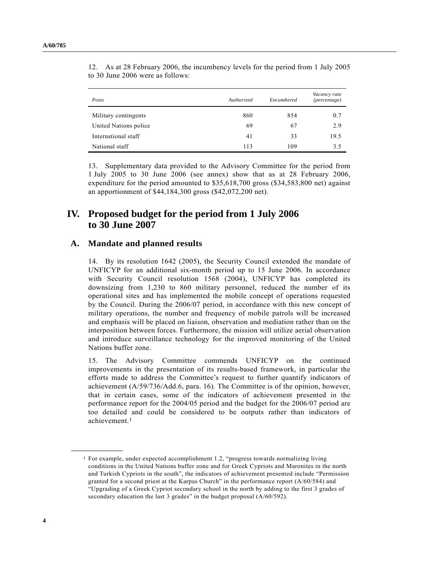| Posts                 | Authorized | Encumbered | Vacancy rate<br>(percentage) |
|-----------------------|------------|------------|------------------------------|
| Military contingents  | 860        | 854        | 0.7                          |
| United Nations police | 69         | 67         | 2.9                          |
| International staff   | 41         | 33         | 19.5                         |
| National staff        | 113        | 109        | 3.5                          |

12. As at 28 February 2006, the incumbency levels for the period from 1 July 2005 to 30 June 2006 were as follows:

13. Supplementary data provided to the Advisory Committee for the period from 1 July 2005 to 30 June 2006 (see annex) show that as at 28 February 2006, expenditure for the period amounted to \$35,618,700 gross (\$34,583,800 net) against an apportionment of \$44,184,300 gross (\$42,072,200 net).

## **IV. Proposed budget for the period from 1 July 2006 to 30 June 2007**

### **A. Mandate and planned results**

14. By its resolution 1642 (2005), the Security Council extended the mandate of UNFICYP for an additional six-month period up to 15 June 2006. In accordance with Security Council resolution 1568 (2004), UNFICYP has completed its downsizing from 1,230 to 860 military personnel, reduced the number of its operational sites and has implemented the mobile concept of operations requested by the Council. During the 2006/07 period, in accordance with this new concept of military operations, the number and frequency of mobile patrols will be increased and emphasis will be placed on liaison, observation and mediation rather than on the interposition between forces. Furthermore, the mission will utilize aerial observation and introduce surveillance technology for the improved monitoring of the United Nations buffer zone.

15. The Advisory Committee commends UNFICYP on the continued improvements in the presentation of its results-based framework, in particular the efforts made to address the Committee's request to further quantify indicators of achievement (A/59/736/Add.6, para. 16). The Committee is of the opinion, however, that in certain cases, some of the indicators of achievement presented in the performance report for the 2004/05 period and the budget for the 2006/07 period are too detailed and could be considered to be outputs rather than indicators of achievement.1

**\_\_\_\_\_\_\_\_\_\_\_\_\_\_\_\_\_\_**

<sup>&</sup>lt;sup>1</sup> For example, under expected accomplishment 1.2, "progress towards normalizing living conditions in the United Nations buffer zone and for Greek Cypriots and Maronites in the north and Turkish Cypriots in the south", the indicators of achievement presented include "Permission granted for a second priest at the Karpas Church" in the performance report (A/60/584) and ìUpgrading of a Greek Cypriot secondary school in the north by adding to the first 3 grades of secondary education the last 3 grades" in the budget proposal (A/60/592).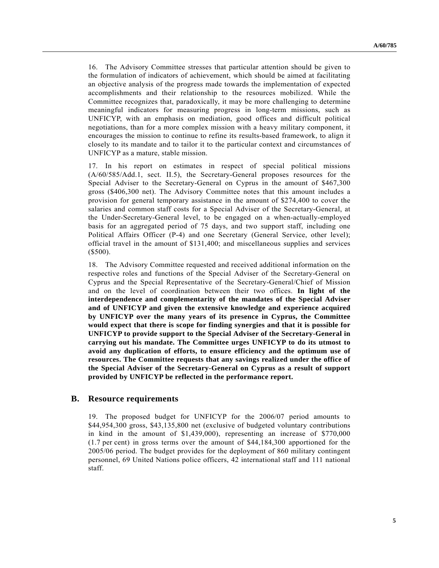16. The Advisory Committee stresses that particular attention should be given to the formulation of indicators of achievement, which should be aimed at facilitating an objective analysis of the progress made towards the implementation of expected accomplishments and their relationship to the resources mobilized. While the Committee recognizes that, paradoxically, it may be more challenging to determine meaningful indicators for measuring progress in long-term missions, such as UNFICYP, with an emphasis on mediation, good offices and difficult political negotiations, than for a more complex mission with a heavy military component, it encourages the mission to continue to refine its results-based framework, to align it closely to its mandate and to tailor it to the particular context and circumstances of UNFICYP as a mature, stable mission.

17. In his report on estimates in respect of special political missions (A/60/585/Add.1, sect. II.5), the Secretary-General proposes resources for the Special Adviser to the Secretary-General on Cyprus in the amount of \$467,300 gross (\$406,300 net). The Advisory Committee notes that this amount includes a provision for general temporary assistance in the amount of \$274,400 to cover the salaries and common staff costs for a Special Adviser of the Secretary-General, at the Under-Secretary-General level, to be engaged on a when-actually-employed basis for an aggregated period of 75 days, and two support staff, including one Political Affairs Officer (P-4) and one Secretary (General Service, other level); official travel in the amount of \$131,400; and miscellaneous supplies and services (\$500).

18. The Advisory Committee requested and received additional information on the respective roles and functions of the Special Adviser of the Secretary-General on Cyprus and the Special Representative of the Secretary-General/Chief of Mission and on the level of coordination between their two offices. **In light of the interdependence and complementarity of the mandates of the Special Adviser and of UNFICYP and given the extensive knowledge and experience acquired by UNFICYP over the many years of its presence in Cyprus, the Committee would expect that there is scope for finding synergies and that it is possible for UNFICYP to provide support to the Special Adviser of the Secretary-General in carrying out his mandate. The Committee urges UNFICYP to do its utmost to avoid any duplication of efforts, to ensure efficiency and the optimum use of resources. The Committee requests that any savings realized under the office of the Special Adviser of the Secretary-General on Cyprus as a result of support provided by UNFICYP be reflected in the performance report.**

### **B. Resource requirements**

19. The proposed budget for UNFICYP for the 2006/07 period amounts to \$44,954,300 gross, \$43,135,800 net (exclusive of budgeted voluntary contributions in kind in the amount of \$1,439,000), representing an increase of \$770,000 (1.7 per cent) in gross terms over the amount of \$44,184,300 apportioned for the 2005/06 period. The budget provides for the deployment of 860 military contingent personnel, 69 United Nations police officers, 42 international staff and 111 national staff.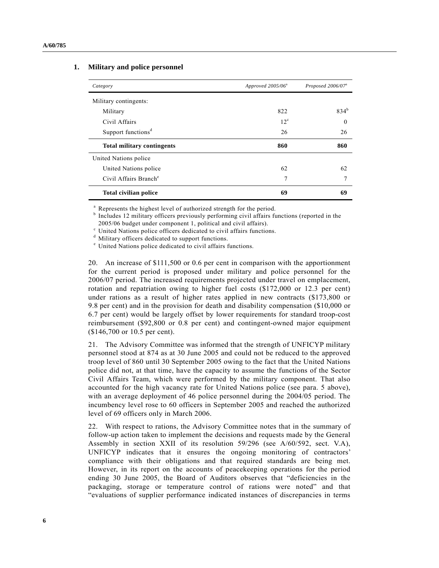| Category                          | Approved $2005/06^a$ | Proposed 2006/07 <sup>a</sup> |
|-----------------------------------|----------------------|-------------------------------|
| Military contingents:             |                      |                               |
| Military                          | 822                  | $834^{b}$                     |
| Civil Affairs                     | $12^{\circ}$         | $\theta$                      |
| Support functions <sup>d</sup>    | 26                   | 26                            |
| <b>Total military contingents</b> | 860                  | 860                           |
| United Nations police             |                      |                               |
| United Nations police             | 62                   | 62                            |
| Civil Affairs Branch <sup>e</sup> | 7                    | 7                             |
| <b>Total civilian police</b>      | 69                   | 69                            |

### **1. Military and police personnel**

<sup>a</sup> Represents the highest level of authorized strength for the period.

<sup>b</sup> Includes 12 military officers previously performing civil affairs functions (reported in the 2005/06 budget under component 1, political and civil affairs).

 $c$  United Nations police officers dedicated to civil affairs functions.

<sup>d</sup> Military officers dedicated to support functions.

<sup>e</sup> United Nations police dedicated to civil affairs functions.

20. An increase of \$111,500 or 0.6 per cent in comparison with the apportionment for the current period is proposed under military and police personnel for the 2006/07 period. The increased requirements projected under travel on emplacement, rotation and repatriation owing to higher fuel costs (\$172,000 or 12.3 per cent) under rations as a result of higher rates applied in new contracts (\$173,800 or 9.8 per cent) and in the provision for death and disability compensation (\$10,000 or 6.7 per cent) would be largely offset by lower requirements for standard troop-cost reimbursement (\$92,800 or 0.8 per cent) and contingent-owned major equipment (\$146,700 or 10.5 per cent).

21. The Advisory Committee was informed that the strength of UNFICYP military personnel stood at 874 as at 30 June 2005 and could not be reduced to the approved troop level of 860 until 30 September 2005 owing to the fact that the United Nations police did not, at that time, have the capacity to assume the functions of the Sector Civil Affairs Team, which were performed by the military component. That also accounted for the high vacancy rate for United Nations police (see para. 5 above), with an average deployment of 46 police personnel during the 2004/05 period. The incumbency level rose to 60 officers in September 2005 and reached the authorized level of 69 officers only in March 2006.

22. With respect to rations, the Advisory Committee notes that in the summary of follow-up action taken to implement the decisions and requests made by the General Assembly in section XXII of its resolution 59/296 (see A/60/592, sect. V.A), UNFICYP indicates that it ensures the ongoing monitoring of contractors' compliance with their obligations and that required standards are being met. However, in its report on the accounts of peacekeeping operations for the period ending 30 June 2005, the Board of Auditors observes that "deficiencies in the packaging, storage or temperature control of rations were noted" and that ìevaluations of supplier performance indicated instances of discrepancies in terms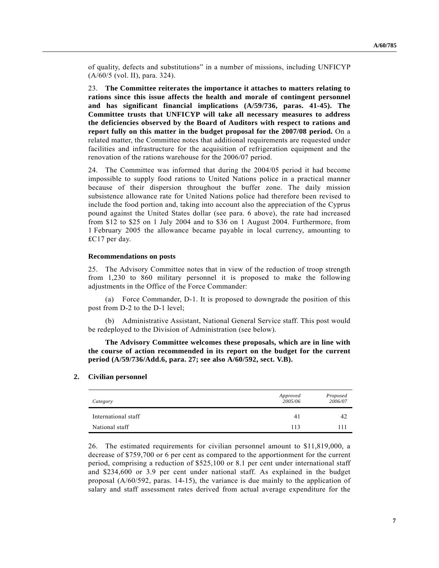of quality, defects and substitutions" in a number of missions, including UNFICYP (A/60/5 (vol. II), para. 324).

23. **The Committee reiterates the importance it attaches to matters relating to rations since this issue affects the health and morale of contingent personnel and has significant financial implications (A/59/736, paras. 41-45). The Committee trusts that UNFICYP will take all necessary measures to address the deficiencies observed by the Board of Auditors with respect to rations and report fully on this matter in the budget proposal for the 2007/08 period.** On a related matter, the Committee notes that additional requirements are requested under facilities and infrastructure for the acquisition of refrigeration equipment and the renovation of the rations warehouse for the 2006/07 period.

24. The Committee was informed that during the 2004/05 period it had become impossible to supply food rations to United Nations police in a practical manner because of their dispersion throughout the buffer zone. The daily mission subsistence allowance rate for United Nations police had therefore been revised to include the food portion and, taking into account also the appreciation of the Cyprus pound against the United States dollar (see para. 6 above), the rate had increased from \$12 to \$25 on 1 July 2004 and to \$36 on 1 August 2004. Furthermore, from 1 February 2005 the allowance became payable in local currency, amounting to ₤C17 per day.

#### **Recommendations on posts**

25. The Advisory Committee notes that in view of the reduction of troop strength from 1,230 to 860 military personnel it is proposed to make the following adjustments in the Office of the Force Commander:

(a) Force Commander, D-1. It is proposed to downgrade the position of this post from D-2 to the D-1 level;

(b) Administrative Assistant, National General Service staff. This post would be redeployed to the Division of Administration (see below).

**The Advisory Committee welcomes these proposals, which are in line with the course of action recommended in its report on the budget for the current period (A/59/736/Add.6, para. 27; see also A/60/592, sect. V.B).**

#### **2. Civilian personnel**

| Category            | Approved<br>2005/06 | Proposed<br>2006/07 |
|---------------------|---------------------|---------------------|
| International staff | 41                  | 42                  |
| National staff      | 113                 | 111                 |

26. The estimated requirements for civilian personnel amount to \$11,819,000, a decrease of \$759,700 or 6 per cent as compared to the apportionment for the current period, comprising a reduction of \$525,100 or 8.1 per cent under international staff and \$234,600 or 3.9 per cent under national staff. As explained in the budget proposal (A/60/592, paras. 14-15), the variance is due mainly to the application of salary and staff assessment rates derived from actual average expenditure for the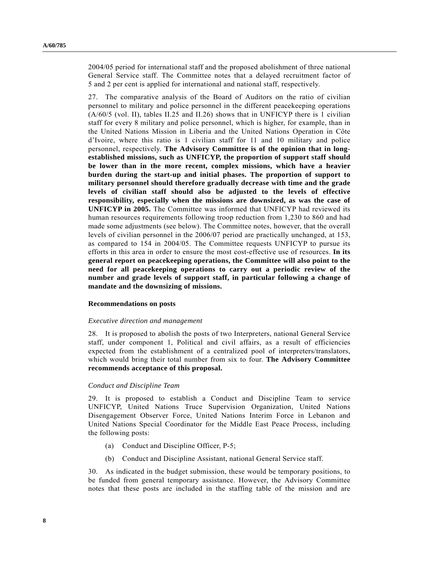2004/05 period for international staff and the proposed abolishment of three national General Service staff. The Committee notes that a delayed recruitment factor of 5 and 2 per cent is applied for international and national staff, respectively.

27. The comparative analysis of the Board of Auditors on the ratio of civilian personnel to military and police personnel in the different peacekeeping operations (A/60/5 (vol. II), tables II.25 and II.26) shows that in UNFICYP there is 1 civilian staff for every 8 military and police personnel, which is higher, for example, than in the United Nations Mission in Liberia and the United Nations Operation in Côte  $d'I$ voire, where this ratio is 1 civilian staff for 11 and 10 military and police personnel, respectively. **The Advisory Committee is of the opinion that in longestablished missions, such as UNFICYP, the proportion of support staff should be lower than in the more recent, complex missions, which have a heavier burden during the start-up and initial phases. The proportion of support to military personnel should therefore gradually decrease with time and the grade levels of civilian staff should also be adjusted to the levels of effective responsibility, especially when the missions are downsized, as was the case of UNFICYP in 2005.** The Committee was informed that UNFICYP had reviewed its human resources requirements following troop reduction from 1,230 to 860 and had made some adjustments (see below). The Committee notes, however, that the overall levels of civilian personnel in the 2006/07 period are practically unchanged, at 153, as compared to 154 in 2004/05. The Committee requests UNFICYP to pursue its efforts in this area in order to ensure the most cost-effective use of resources. **In its general report on peacekeeping operations, the Committee will also point to the need for all peacekeeping operations to carry out a periodic review of the number and grade levels of support staff, in particular following a change of mandate and the downsizing of missions.**

#### **Recommendations on posts**

#### *Executive direction and management*

28. It is proposed to abolish the posts of two Interpreters, national General Service staff, under component 1, Political and civil affairs, as a result of efficiencies expected from the establishment of a centralized pool of interpreters/translators, which would bring their total number from six to four. **The Advisory Committee recommends acceptance of this proposal.**

#### *Conduct and Discipline Team*

29. It is proposed to establish a Conduct and Discipline Team to service UNFICYP, United Nations Truce Supervision Organization, United Nations Disengagement Observer Force, United Nations Interim Force in Lebanon and United Nations Special Coordinator for the Middle East Peace Process, including the following posts:

- (a) Conduct and Discipline Officer, P-5;
- (b) Conduct and Discipline Assistant, national General Service staff.

30. As indicated in the budget submission, these would be temporary positions, to be funded from general temporary assistance. However, the Advisory Committee notes that these posts are included in the staffing table of the mission and are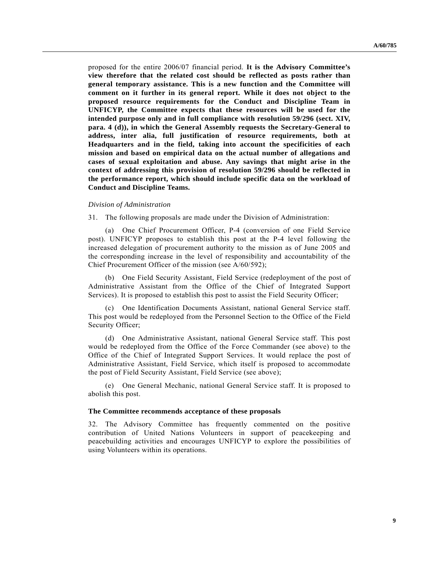proposed for the entire 2006/07 financial period. **It is the Advisory Committee's view therefore that the related cost should be reflected as posts rather than general temporary assistance. This is a new function and the Committee will comment on it further in its general report. While it does not object to the proposed resource requirements for the Conduct and Discipline Team in UNFICYP, the Committee expects that these resources will be used for the intended purpose only and in full compliance with resolution 59/296 (sect. XIV, para. 4 (d)), in which the General Assembly requests the Secretary-General to address, inter alia, full justification of resource requirements, both at Headquarters and in the field, taking into account the specificities of each mission and based on empirical data on the actual number of allegations and cases of sexual exploitation and abuse. Any savings that might arise in the context of addressing this provision of resolution 59/296 should be reflected in the performance report, which should include specific data on the workload of Conduct and Discipline Teams.**

#### *Division of Administration*

31. The following proposals are made under the Division of Administration:

(a) One Chief Procurement Officer, P-4 (conversion of one Field Service post). UNFICYP proposes to establish this post at the P-4 level following the increased delegation of procurement authority to the mission as of June 2005 and the corresponding increase in the level of responsibility and accountability of the Chief Procurement Officer of the mission (see A/60/592);

(b) One Field Security Assistant, Field Service (redeployment of the post of Administrative Assistant from the Office of the Chief of Integrated Support Services). It is proposed to establish this post to assist the Field Security Officer;

One Identification Documents Assistant, national General Service staff. This post would be redeployed from the Personnel Section to the Office of the Field Security Officer;

(d) One Administrative Assistant, national General Service staff. This post would be redeployed from the Office of the Force Commander (see above) to the Office of the Chief of Integrated Support Services. It would replace the post of Administrative Assistant, Field Service, which itself is proposed to accommodate the post of Field Security Assistant, Field Service (see above);

(e) One General Mechanic, national General Service staff. It is proposed to abolish this post.

#### **The Committee recommends acceptance of these proposals**

32. The Advisory Committee has frequently commented on the positive contribution of United Nations Volunteers in support of peacekeeping and peacebuilding activities and encourages UNFICYP to explore the possibilities of using Volunteers within its operations.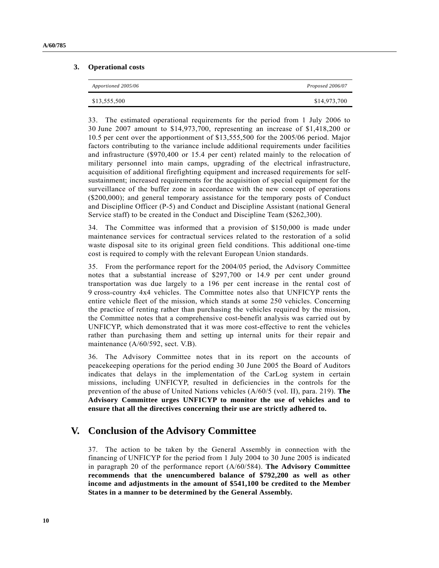### **3. Operational costs**

| Apportioned 2005/06 | Proposed 2006/07 |
|---------------------|------------------|
| \$13,555,500        | \$14,973,700     |

33. The estimated operational requirements for the period from 1 July 2006 to 30 June 2007 amount to \$14,973,700, representing an increase of \$1,418,200 or 10.5 per cent over the apportionment of \$13,555,500 for the 2005/06 period. Major factors contributing to the variance include additional requirements under facilities and infrastructure (\$970,400 or 15.4 per cent) related mainly to the relocation of military personnel into main camps, upgrading of the electrical infrastructure, acquisition of additional firefighting equipment and increased requirements for selfsustainment; increased requirements for the acquisition of special equipment for the surveillance of the buffer zone in accordance with the new concept of operations (\$200,000); and general temporary assistance for the temporary posts of Conduct and Discipline Officer (P-5) and Conduct and Discipline Assistant (national General Service staff) to be created in the Conduct and Discipline Team (\$262,300).

34. The Committee was informed that a provision of \$150,000 is made under maintenance services for contractual services related to the restoration of a solid waste disposal site to its original green field conditions. This additional one-time cost is required to comply with the relevant European Union standards.

35. From the performance report for the 2004/05 period, the Advisory Committee notes that a substantial increase of \$297,700 or 14.9 per cent under ground transportation was due largely to a 196 per cent increase in the rental cost of 9 cross-country 4x4 vehicles. The Committee notes also that UNFICYP rents the entire vehicle fleet of the mission, which stands at some 250 vehicles. Concerning the practice of renting rather than purchasing the vehicles required by the mission, the Committee notes that a comprehensive cost-benefit analysis was carried out by UNFICYP, which demonstrated that it was more cost-effective to rent the vehicles rather than purchasing them and setting up internal units for their repair and maintenance (A/60/592, sect. V.B).

36. The Advisory Committee notes that in its report on the accounts of peacekeeping operations for the period ending 30 June 2005 the Board of Auditors indicates that delays in the implementation of the CarLog system in certain missions, including UNFICYP, resulted in deficiencies in the controls for the prevention of the abuse of United Nations vehicles (A/60/5 (vol. II), para. 219). **The Advisory Committee urges UNFICYP to monitor the use of vehicles and to ensure that all the directives concerning their use are strictly adhered to.**

## **V. Conclusion of the Advisory Committee**

37. The action to be taken by the General Assembly in connection with the financing of UNFICYP for the period from 1 July 2004 to 30 June 2005 is indicated in paragraph 20 of the performance report (A/60/584). **The Advisory Committee recommends that the unencumbered balance of \$792,200 as well as other income and adjustments in the amount of \$541,100 be credited to the Member States in a manner to be determined by the General Assembly.**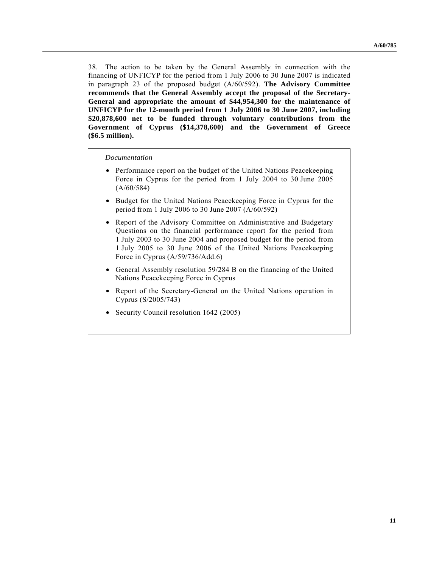38. The action to be taken by the General Assembly in connection with the financing of UNFICYP for the period from 1 July 2006 to 30 June 2007 is indicated in paragraph 23 of the proposed budget (A/60/592). **The Advisory Committee recommends that the General Assembly accept the proposal of the Secretary-General and appropriate the amount of \$44,954,300 for the maintenance of UNFICYP for the 12-month period from 1 July 2006 to 30 June 2007, including \$20,878,600 net to be funded through voluntary contributions from the Government of Cyprus (\$14,378,600) and the Government of Greece (\$6.5 million).**

*Documentation*

- Performance report on the budget of the United Nations Peacekeeping Force in Cyprus for the period from 1 July 2004 to 30 June 2005  $(A/60/584)$
- Budget for the United Nations Peacekeeping Force in Cyprus for the period from 1 July 2006 to 30 June 2007 (A/60/592)
- Report of the Advisory Committee on Administrative and Budgetary Questions on the financial performance report for the period from 1 July 2003 to 30 June 2004 and proposed budget for the period from 1 July 2005 to 30 June 2006 of the United Nations Peacekeeping Force in Cyprus (A/59/736/Add.6)
- General Assembly resolution 59/284 B on the financing of the United Nations Peacekeeping Force in Cyprus
- Report of the Secretary-General on the United Nations operation in Cyprus (S/2005/743)
- Security Council resolution 1642 (2005)